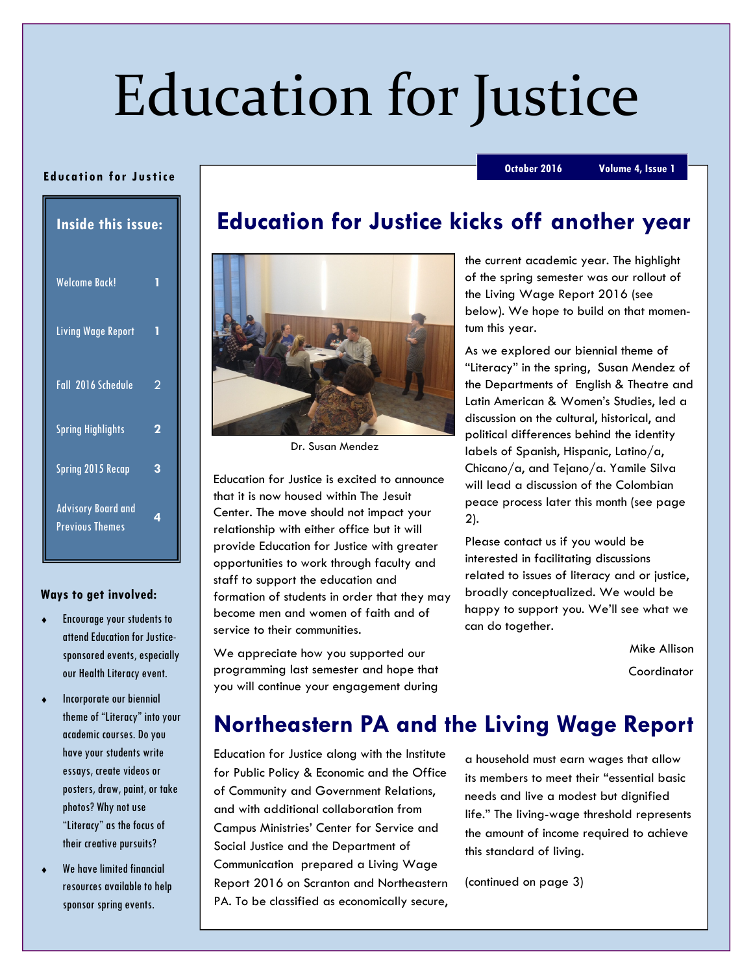# Education for Justice

#### Ed uca tion for Justice

October 2016 Volume 4, Issue 1

| <b>Inside this issue:</b>                           |   |
|-----------------------------------------------------|---|
| <b>Welcome Back!</b>                                | 1 |
| Living Wage Report                                  | 1 |
| Fall 2016 Schedule                                  | 2 |
| <b>Spring Highlights</b>                            | 2 |
| <b>Spring 2015 Recap</b>                            | 3 |
| <b>Advisory Board and</b><br><b>Previous Themes</b> | 4 |

#### Ways to get involved:

- Encourage your students to attend Education for Justicesponsored events, especially our Health Literacy event.
- Incorporate our biennial theme of "Literacy" into your academic courses. Do you have your students write essays, create videos or posters, draw, paint, or take photos? Why not use "Literacy" as the focus of their creative pursuits?
- We have limited financial resources available to help sponsor spring events.

# Education for Justice kicks off another year



Dr. Susan Mendez

Education for Justice is excited to announce that it is now housed within The Jesuit Center. The move should not impact your relationship with either office but it will provide Education for Justice with greater opportunities to work through faculty and staff to support the education and formation of students in order that they may become men and women of faith and of service to their communities.

We appreciate how you supported our programming last semester and hope that you will continue your engagement during

the current academic year. The highlight of the spring semester was our rollout of the Living Wage Report 2016 (see below). We hope to build on that momentum this year.

As we explored our biennial theme of "Literacy" in the spring, Susan Mendez of the Departments of English & Theatre and Latin American & Women's Studies, led a discussion on the cultural, historical, and political differences behind the identity labels of Spanish, Hispanic, Latino/a, Chicano/a, and Tejano/a. Yamile Silva will lead a discussion of the Colombian peace process later this month (see page 2).

Please contact us if you would be interested in facilitating discussions related to issues of literacy and or justice, broadly conceptualized. We would be happy to support you. We'll see what we can do together.

> Mike Allison **Coordinator**

## Northeastern PA and the Living Wage Report

Education for Justice along with the Institute for Public Policy & Economic and the Office of Community and Government Relations, and with additional collaboration from Campus Ministries' Center for Service and Social Justice and the Department of Communication prepared a Living Wage Report 2016 on Scranton and Northeastern PA. To be classified as economically secure,

a household must earn wages that allow its members to meet their "essential basic needs and live a modest but dignified life." The living-wage threshold represents the amount of income required to achieve this standard of living.

(continued on page 3)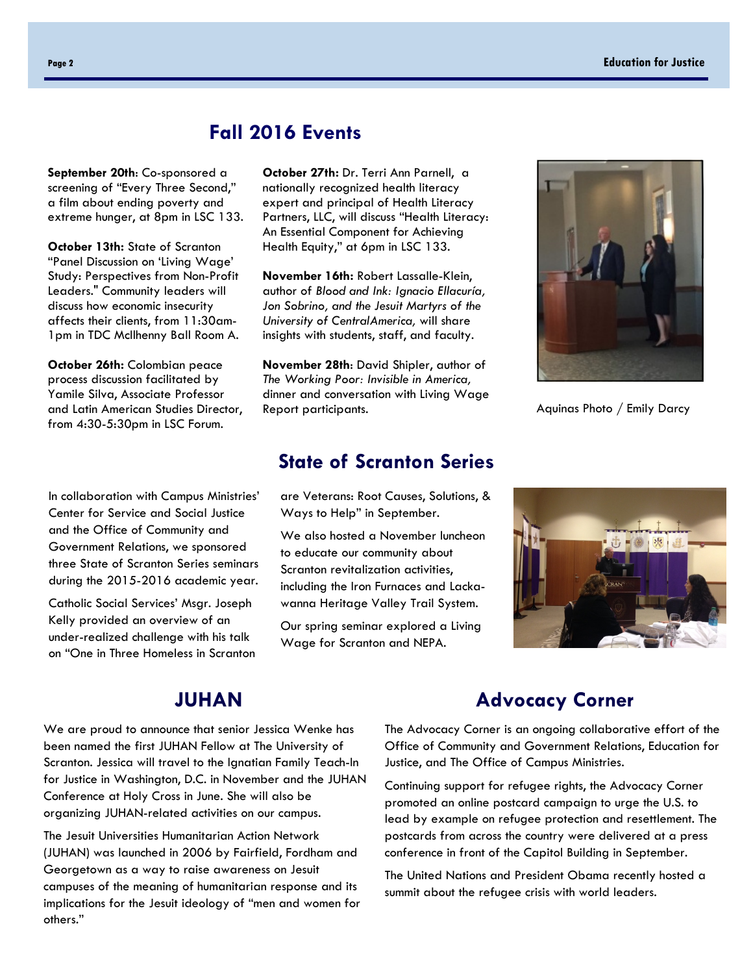### Fall 2016 Events

September 20th: Co-sponsored a screening of "Every Three Second," a film about ending poverty and extreme hunger, at 8pm in LSC 133.

October 13th: State of Scranton "Panel Discussion on 'Living Wage' Study: Perspectives from Non-Profit Leaders." Community leaders will discuss how economic insecurity affects their clients, from 11:30am-1pm in TDC McIlhenny Ball Room A.

October 26th: Colombian peace process discussion facilitated by Yamile Silva, Associate Professor and Latin American Studies Director, from 4:30-5:30pm in LSC Forum.

In collaboration with Campus Ministries' Center for Service and Social Justice and the Office of Community and Government Relations, we sponsored three State of Scranton Series seminars during the 2015-2016 academic year.

Catholic Social Services' Msgr. Joseph Kelly provided an overview of an under-realized challenge with his talk on "One in Three Homeless in Scranton

October 27th: Dr. Terri Ann Parnell, a nationally recognized health literacy expert and principal of Health Literacy Partners, LLC, will discuss "Health Literacy: An Essential Component for Achieving Health Equity," at 6pm in LSC 133.

November 16th: Robert Lassalle-Klein, author of Blood and Ink: Ignacio Ellacuría, Jon Sobrino, and the Jesuit Martyrs of the University of CentralAmerica, will share insights with students, staff, and faculty.

November 28th: David Shipler, author of The Working Poor: Invisible in America, dinner and conversation with Living Wage Report participants.

#### State of Scranton Series

are Veterans: Root Causes, Solutions, & Ways to Help" in September.

We also hosted a November luncheon to educate our community about Scranton revitalization activities, including the Iron Furnaces and Lackawanna Heritage Valley Trail System.

Our spring seminar explored a Living Wage for Scranton and NEPA.



Aquinas Photo / Emily Darcy



#### JUHAN

We are proud to announce that senior Jessica Wenke has been named the first JUHAN Fellow at The University of Scranton. Jessica will travel to the Ignatian Family Teach-In for Justice in Washington, D.C. in November and the JUHAN Conference at Holy Cross in June. She will also be organizing JUHAN-related activities on our campus.

The Jesuit Universities Humanitarian Action Network (JUHAN) was launched in 2006 by Fairfield, Fordham and Georgetown as a way to raise awareness on Jesuit campuses of the meaning of humanitarian response and its implications for the Jesuit ideology of "men and women for others."

### Advocacy Corner

The Advocacy Corner is an ongoing collaborative effort of the Office of Community and Government Relations, Education for Justice, and The Office of Campus Ministries.

Continuing support for refugee rights, the Advocacy Corner promoted an online postcard campaign to urge the U.S. to lead by example on refugee protection and resettlement. The postcards from across the country were delivered at a press conference in front of the Capitol Building in September.

The United Nations and President Obama recently hosted a summit about the refugee crisis with world leaders.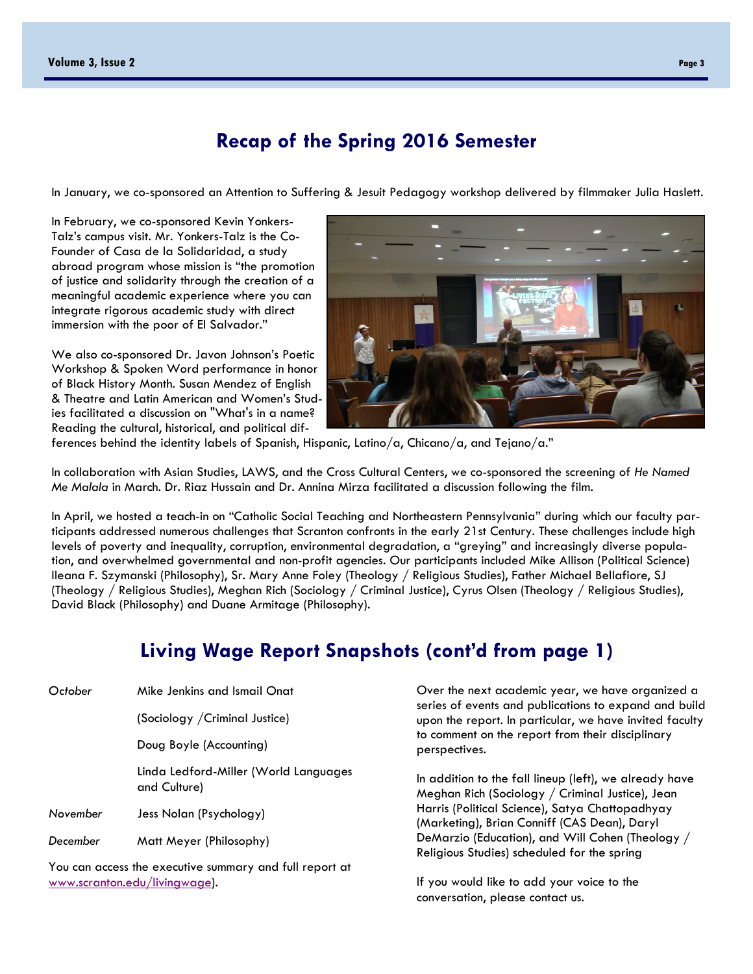#### Recap of the Spring 2016 Semester

In January, we co-sponsored an Attention to Suffering & Jesuit Pedagogy workshop delivered by filmmaker Julia Haslett.

In February, we co-sponsored Kevin Yonkers-Talz's campus visit. Mr. Yonkers-Talz is the Co-Founder of Casa de la Solidaridad, a study abroad program whose mission is "the promotion of justice and solidarity through the creation of a meaningful academic experience where you can integrate rigorous academic study with direct immersion with the poor of El Salvador."

We also co-sponsored Dr. Javon Johnson's Poetic Workshop & Spoken Word performance in honor of Black History Month. Susan Mendez of English & Theatre and Latin American and Women's Studies facilitated a discussion on "What's in a name? Reading the cultural, historical, and political dif-



ferences behind the identity labels of Spanish, Hispanic, Latino/a, Chicano/a, and Tejano/a."

In collaboration with Asian Studies, LAWS, and the Cross Cultural Centers, we co-sponsored the screening of He Named Me Malala in March. Dr. Riaz Hussain and Dr. Annina Mirza facilitated a discussion following the film.

In April, we hosted a teach-in on "Catholic Social Teaching and Northeastern Pennsylvania" during which our faculty participants addressed numerous challenges that Scranton confronts in the early 21st Century. These challenges include high levels of poverty and inequality, corruption, environmental degradation, a "greying" and increasingly diverse population, and overwhelmed governmental and non-profit agencies. Our participants included Mike Allison (Political Science) Ileana F. Szymanski (Philosophy), Sr. Mary Anne Foley (Theology / Religious Studies), Father Michael Bellafiore, SJ (Theology / Religious Studies), Meghan Rich (Sociology / Criminal Justice), Cyrus Olsen (Theology / Religious Studies), David Black (Philosophy) and Duane Armitage (Philosophy).

## Living Wage Report Snapshots (cont'd from page 1)

| October                                                 | Mike Jenkins and Ismail Onat                          |  |
|---------------------------------------------------------|-------------------------------------------------------|--|
|                                                         | (Sociology / Criminal Justice)                        |  |
|                                                         | Doug Boyle (Accounting)                               |  |
|                                                         | Linda Ledford-Miller (World Languages<br>and Culture) |  |
| November                                                | Jess Nolan (Psychology)                               |  |
| December                                                | Matt Meyer (Philosophy)                               |  |
| You can access the executive summary and full report at |                                                       |  |

You can access the executive summary and full report at www.scranton.edu/livingwage).

Over the next academic year, we have organized a series of events and publications to expand and build upon the report. In particular, we have invited faculty to comment on the report from their disciplinary perspectives.

In addition to the fall lineup (left), we already have Meghan Rich (Sociology / Criminal Justice), Jean Harris (Political Science), Satya Chattopadhyay (Marketing), Brian Conniff (CAS Dean), Daryl DeMarzio (Education), and Will Cohen (Theology / Religious Studies) scheduled for the spring

If you would like to add your voice to the conversation, please contact us.